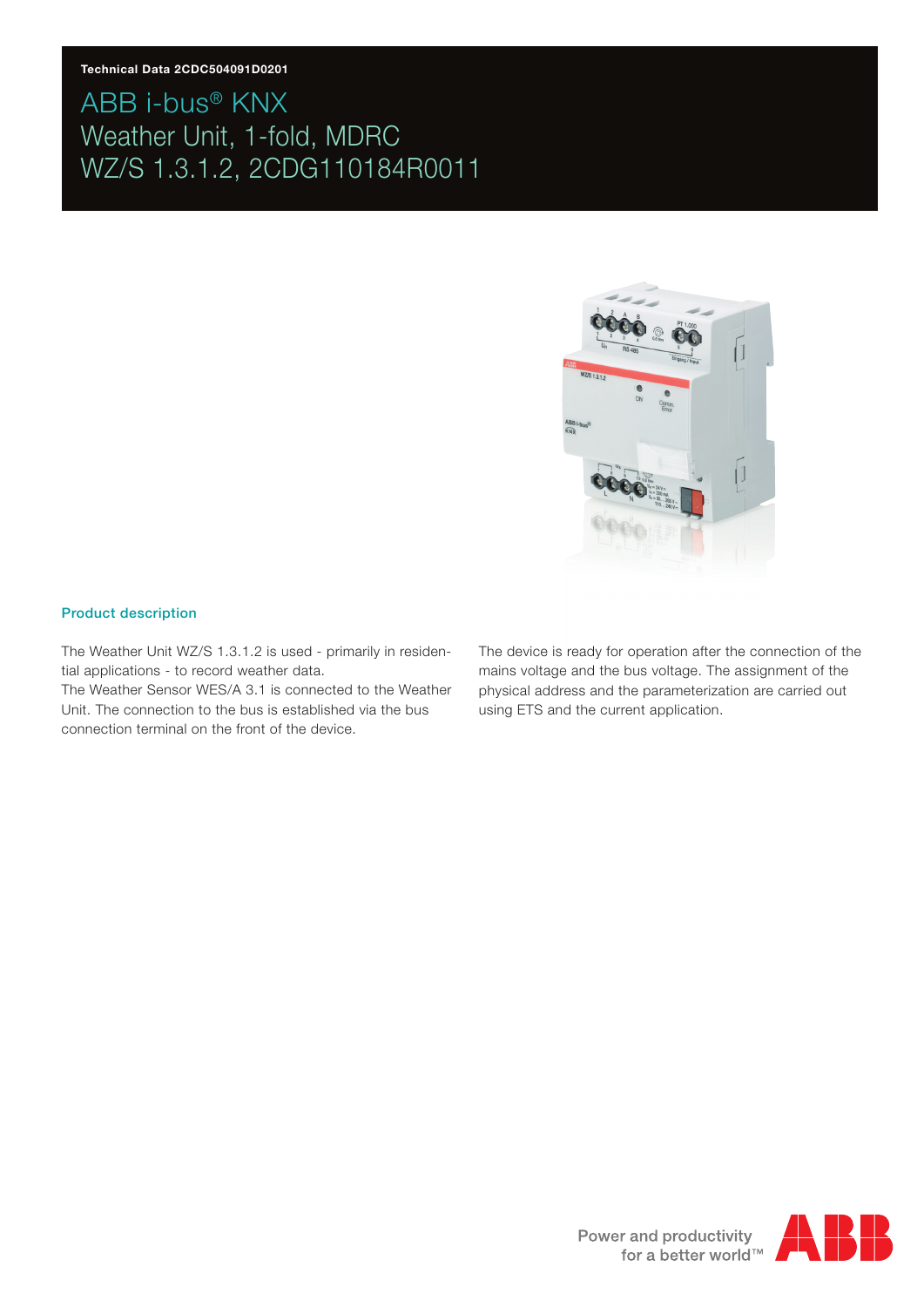#### **Technical Data 2CDC504091D0201**

### ABB i-bus® KNX Weather Unit, 1-fold, MDRC WZ/S 1.3.1.2, 2CDG110184R0011



#### Product description

The Weather Unit WZ/S 1.3.1.2 is used - primarily in residential applications - to record weather data.

The Weather Sensor WES/A 3.1 is connected to the Weather Unit. The connection to the bus is established via the bus connection terminal on the front of the device.

The device is ready for operation after the connection of the mains voltage and the bus voltage. The assignment of the physical address and the parameterization are carried out using ETS and the current application.

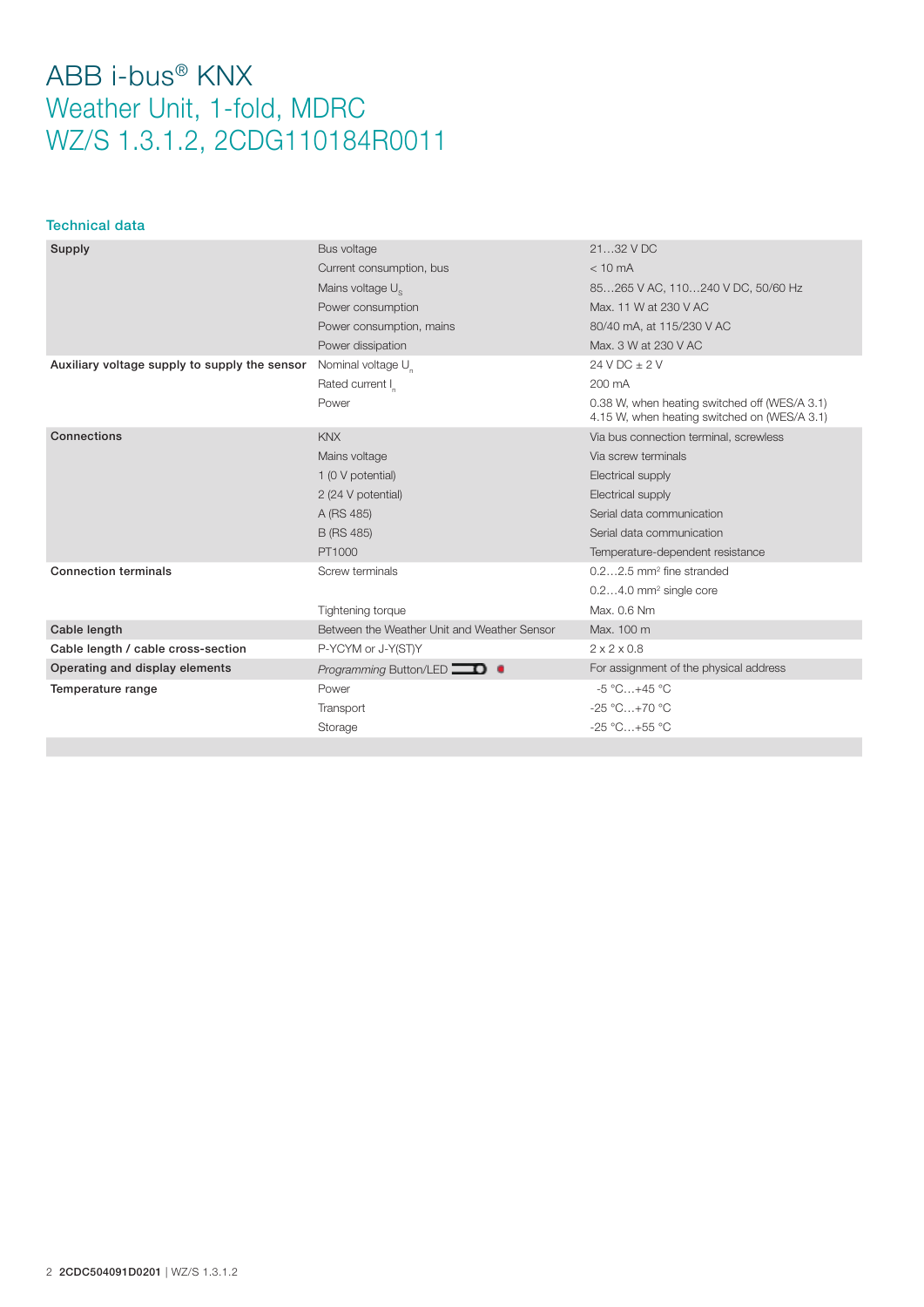### Technical data

| Supply                                        | Bus voltage                                 | 2132 V DC                                                                                     |  |
|-----------------------------------------------|---------------------------------------------|-----------------------------------------------------------------------------------------------|--|
|                                               | Current consumption, bus                    | $< 10 \text{ mA}$                                                                             |  |
|                                               | Mains voltage U <sub>s</sub>                | 85265 V AC, 110240 V DC, 50/60 Hz                                                             |  |
|                                               | Power consumption                           | Max, 11 W at 230 V AC                                                                         |  |
|                                               | Power consumption, mains                    | 80/40 mA, at 115/230 V AC                                                                     |  |
|                                               | Power dissipation                           | Max, 3 W at 230 V AC                                                                          |  |
| Auxiliary voltage supply to supply the sensor | Nominal voltage U                           | $24 VDC + 2 V$                                                                                |  |
|                                               | Rated current I                             | 200 mA                                                                                        |  |
|                                               | Power                                       | 0.38 W, when heating switched off (WES/A 3.1)<br>4.15 W, when heating switched on (WES/A 3.1) |  |
| Connections                                   | <b>KNX</b>                                  | Via bus connection terminal, screwless                                                        |  |
|                                               | Mains voltage                               | Via screw terminals                                                                           |  |
|                                               | 1 (0 V potential)                           | Electrical supply                                                                             |  |
|                                               | 2 (24 V potential)                          | Electrical supply                                                                             |  |
|                                               | A (RS 485)                                  | Serial data communication                                                                     |  |
|                                               | B (RS 485)                                  | Serial data communication                                                                     |  |
|                                               | PT1000                                      | Temperature-dependent resistance                                                              |  |
| <b>Connection terminals</b>                   | Screw terminals                             | $0.22.5$ mm <sup>2</sup> fine stranded                                                        |  |
|                                               |                                             | $0.24.0$ mm <sup>2</sup> single core                                                          |  |
|                                               | Tightening torque                           | Max. 0.6 Nm                                                                                   |  |
| Cable length                                  | Between the Weather Unit and Weather Sensor | Max. 100 m                                                                                    |  |
| Cable length / cable cross-section            | P-YCYM or J-Y(ST)Y                          | $2 \times 2 \times 0.8$                                                                       |  |
| Operating and display elements                | <i>Programming</i> Button/LED $\Box$ $\Box$ | For assignment of the physical address                                                        |  |
| Temperature range                             | Power                                       | $-5^{\circ}$ C $+45^{\circ}$ C                                                                |  |
|                                               | Transport                                   | $-25 °C+70 °C$                                                                                |  |
|                                               | Storage                                     | $-25 °C+55 °C$                                                                                |  |
|                                               |                                             |                                                                                               |  |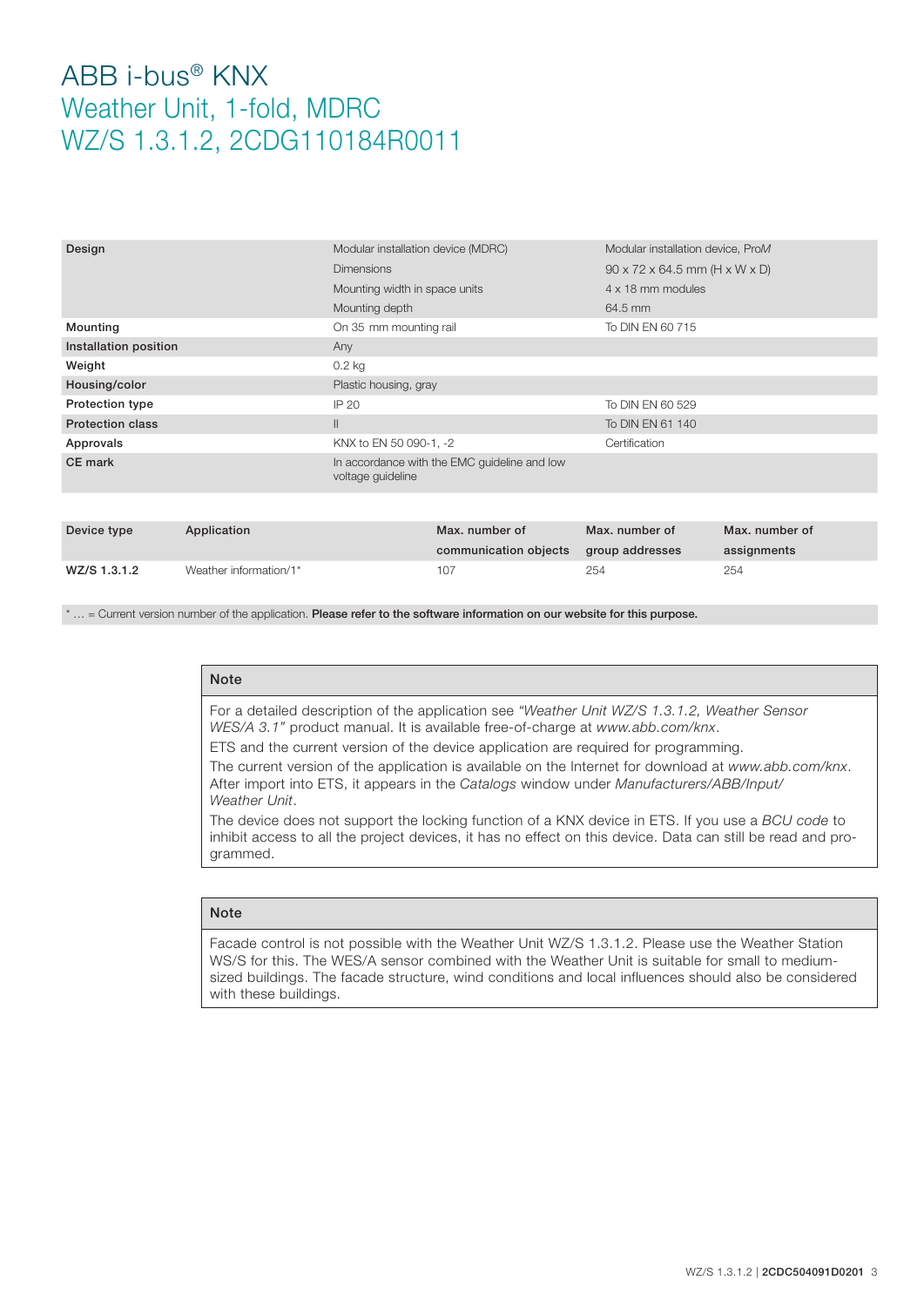| Design                  |             | Modular installation device (MDRC)                                |                                         | Modular installation device, ProM                       |                               |
|-------------------------|-------------|-------------------------------------------------------------------|-----------------------------------------|---------------------------------------------------------|-------------------------------|
|                         |             | <b>Dimensions</b>                                                 |                                         | $90 \times 72 \times 64.5$ mm (H $\times$ W $\times$ D) |                               |
|                         |             | Mounting width in space units                                     |                                         | 4 x 18 mm modules                                       |                               |
|                         |             | Mounting depth                                                    |                                         | 64.5 mm                                                 |                               |
| Mounting                |             | On 35 mm mounting rail                                            |                                         | To DIN EN 60 715                                        |                               |
| Installation position   |             | Any                                                               |                                         |                                                         |                               |
| Weight                  |             | $0.2$ kg                                                          |                                         |                                                         |                               |
| Housing/color           |             | Plastic housing, gray                                             |                                         |                                                         |                               |
| Protection type         |             | IP 20                                                             |                                         | To DIN EN 60 529                                        |                               |
| <b>Protection class</b> |             | $\mathbb{I}$                                                      |                                         | To DIN EN 61 140                                        |                               |
| Approvals               |             | KNX to EN 50 090-1, -2                                            |                                         | Certification                                           |                               |
| CE mark                 |             | In accordance with the EMC guideline and low<br>voltage guideline |                                         |                                                         |                               |
|                         |             |                                                                   |                                         |                                                         |                               |
| Device type             | Application |                                                                   | Max, number of<br>communication objects | Max. number of<br>group addresses                       | Max. number of<br>assignments |

\* ... = Current version number of the application. Please refer to the software information on our website for this purpose.

WZ/S 1.3.1.2 Weather information/1\* 107 254 254

### Note

For a detailed description of the application see *"Weather Unit WZ/S 1.3.1.2, Weather Sensor WES/A 3.1"* product manual. It is available free-of-charge at *www.abb.com/knx*.

ETS and the current version of the device application are required for programming.

The current version of the application is available on the Internet for download at *www.abb.com/knx*. After import into ETS, it appears in the *Catalogs* window under *Manufacturers/ABB/Input/ Weather Unit*.

The device does not support the locking function of a KNX device in ETS. If you use a *BCU code* to inhibit access to all the project devices, it has no effect on this device. Data can still be read and programmed.

#### **Note**

Facade control is not possible with the Weather Unit WZ/S 1.3.1.2. Please use the Weather Station WS/S for this. The WES/A sensor combined with the Weather Unit is suitable for small to mediumsized buildings. The facade structure, wind conditions and local influences should also be considered with these buildings.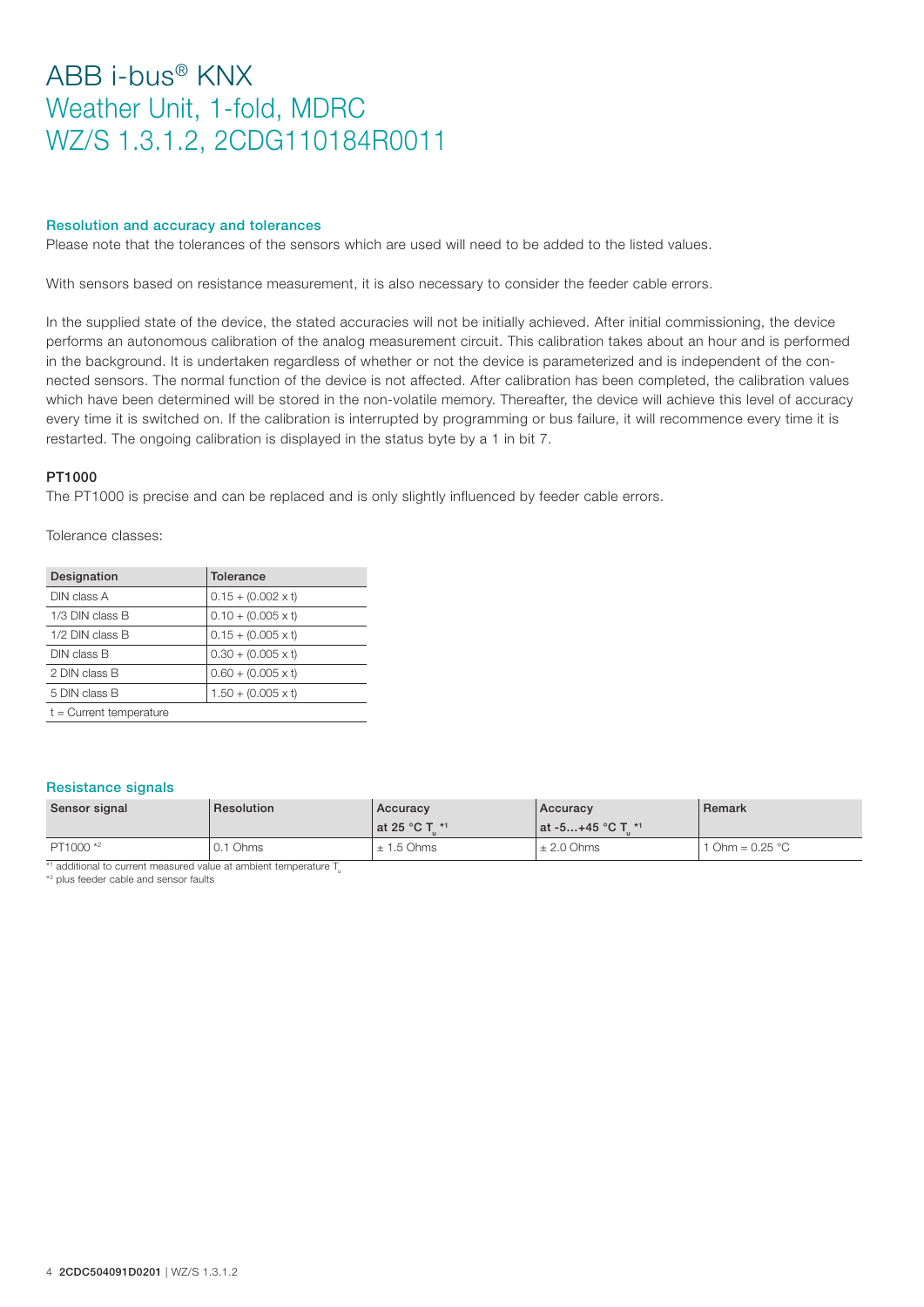#### Resolution and accuracy and tolerances

Please note that the tolerances of the sensors which are used will need to be added to the listed values.

With sensors based on resistance measurement, it is also necessary to consider the feeder cable errors.

In the supplied state of the device, the stated accuracies will not be initially achieved. After initial commissioning, the device performs an autonomous calibration of the analog measurement circuit. This calibration takes about an hour and is performed in the background. It is undertaken regardless of whether or not the device is parameterized and is independent of the connected sensors. The normal function of the device is not affected. After calibration has been completed, the calibration values which have been determined will be stored in the non-volatile memory. Thereafter, the device will achieve this level of accuracy every time it is switched on. If the calibration is interrupted by programming or bus failure, it will recommence every time it is restarted. The ongoing calibration is displayed in the status byte by a 1 in bit 7.

#### PT1000

The PT1000 is precise and can be replaced and is only slightly influenced by feeder cable errors.

Tolerance classes:

| Designation               | Tolerance                 |
|---------------------------|---------------------------|
| DIN class A               | $0.15 + (0.002 \times t)$ |
| 1/3 DIN class B           | $0.10 + (0.005 \times t)$ |
| $1/2$ DIN class B         | $0.15 + (0.005 \times t)$ |
| DIN class B               | $0.30 + (0.005 \times t)$ |
| 2 DIN class B             | $0.60 + (0.005 \times t)$ |
| 5 DIN class B             | $1.50 + (0.005 \times t)$ |
| $t =$ Current temperature |                           |

#### Resistance signals

| Sensor signal        | Resolution | Accuracy<br>l at 25 °C T *1 | Accuracy<br>  at -5+45 °C T *1 | Remark            |
|----------------------|------------|-----------------------------|--------------------------------|-------------------|
| PT1000 <sup>*2</sup> | 0.1 Ohms   | $± 1.5$ Ohms                | $\pm 2.0$ Ohms                 | 1 Ohm = $0.25 °C$ |

 $*$ <sup>1</sup> additional to current measured value at ambient temperature  $T_{\text{u}}$ 

\*2 plus feeder cable and sensor faults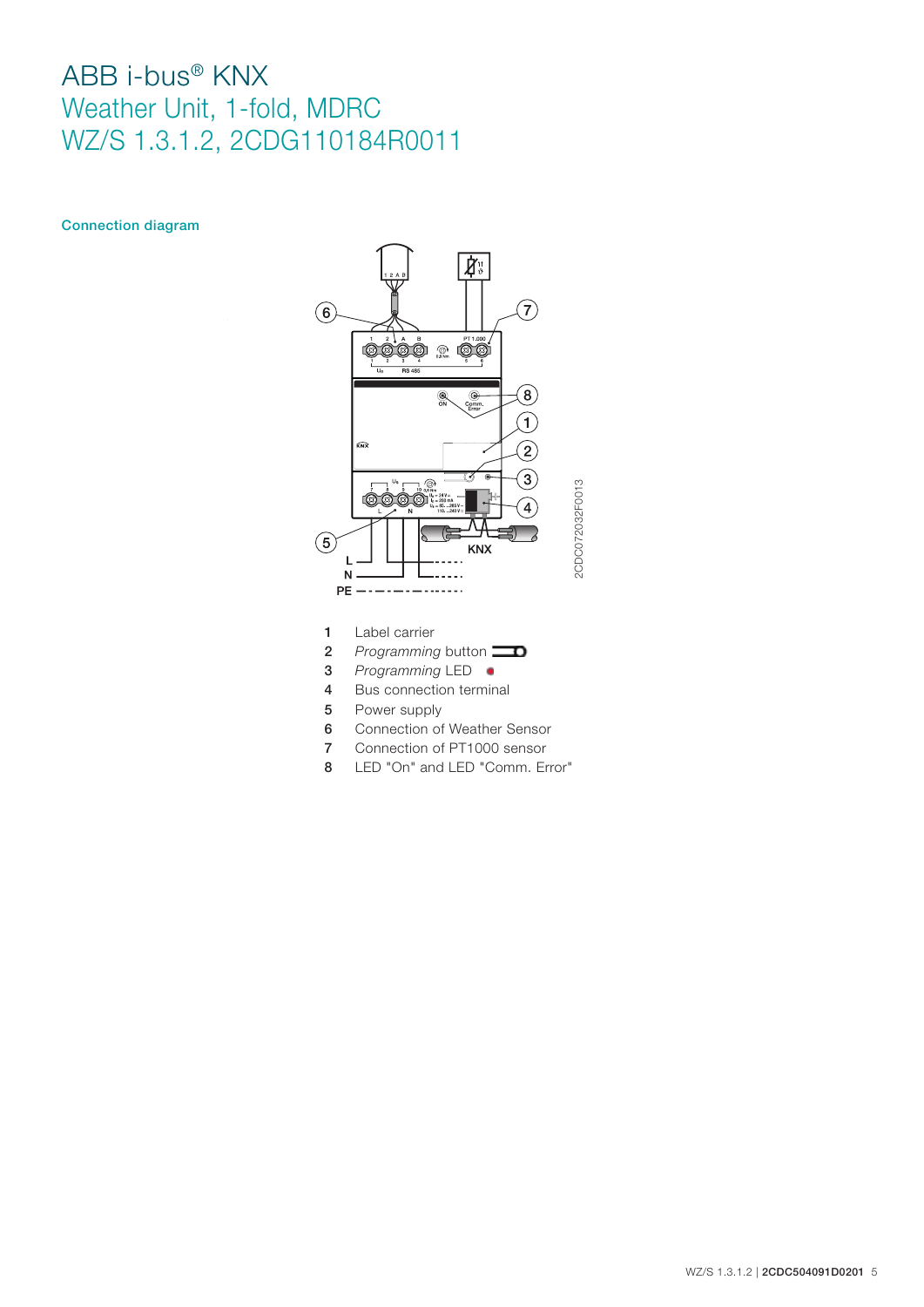### Connection diagram



- 1 Label carrier
- **2** *Programming* button
- 3 *Programming* LED
- 4 Bus connection terminal
- 5 Power supply
- 6 Connection of Weather Sensor
- 7 Connection of PT1000 sensor
- 8 LED "On" and LED "Comm. Error"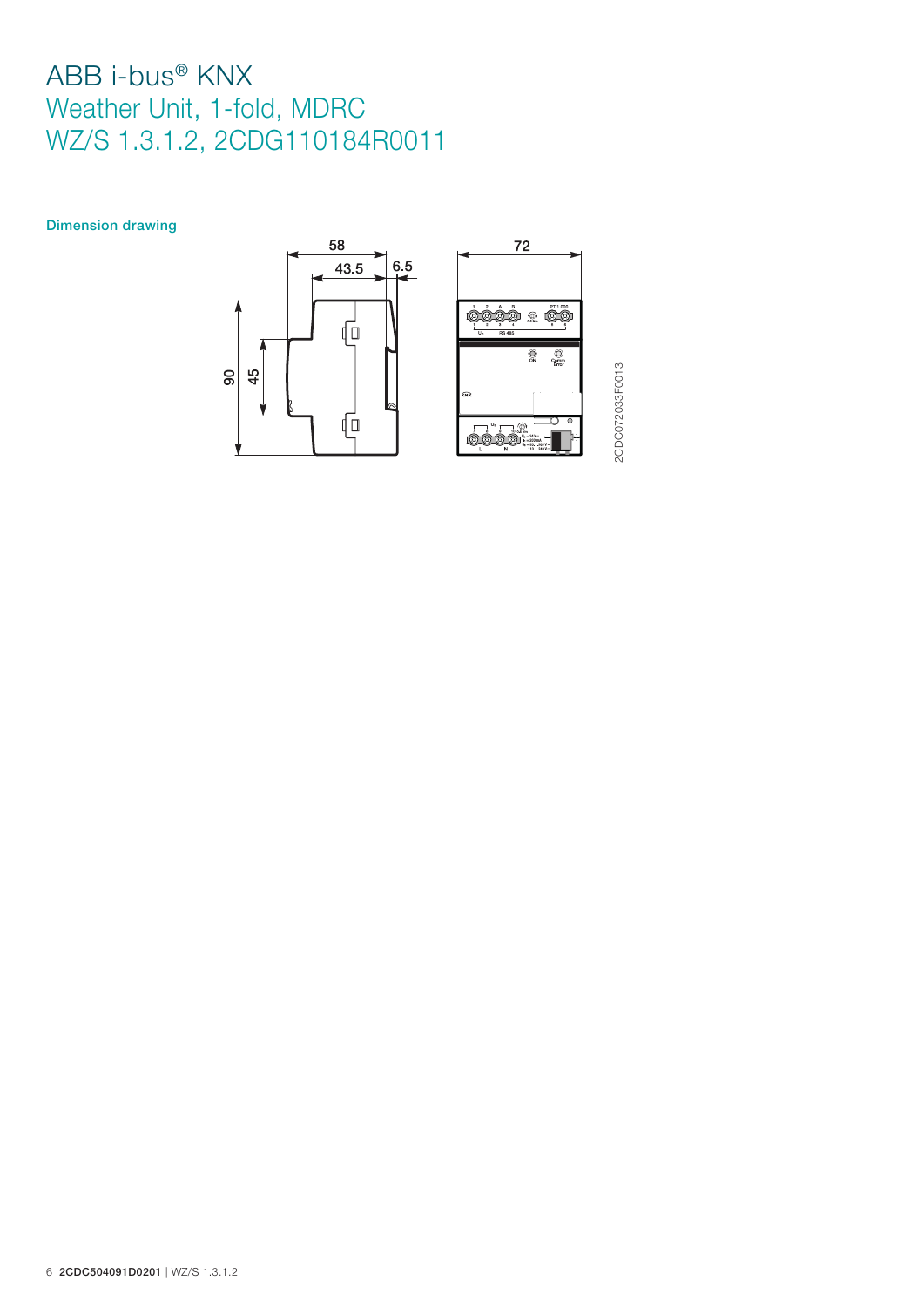Dimension drawing



2CDC072033F0013 2CDC072033F0013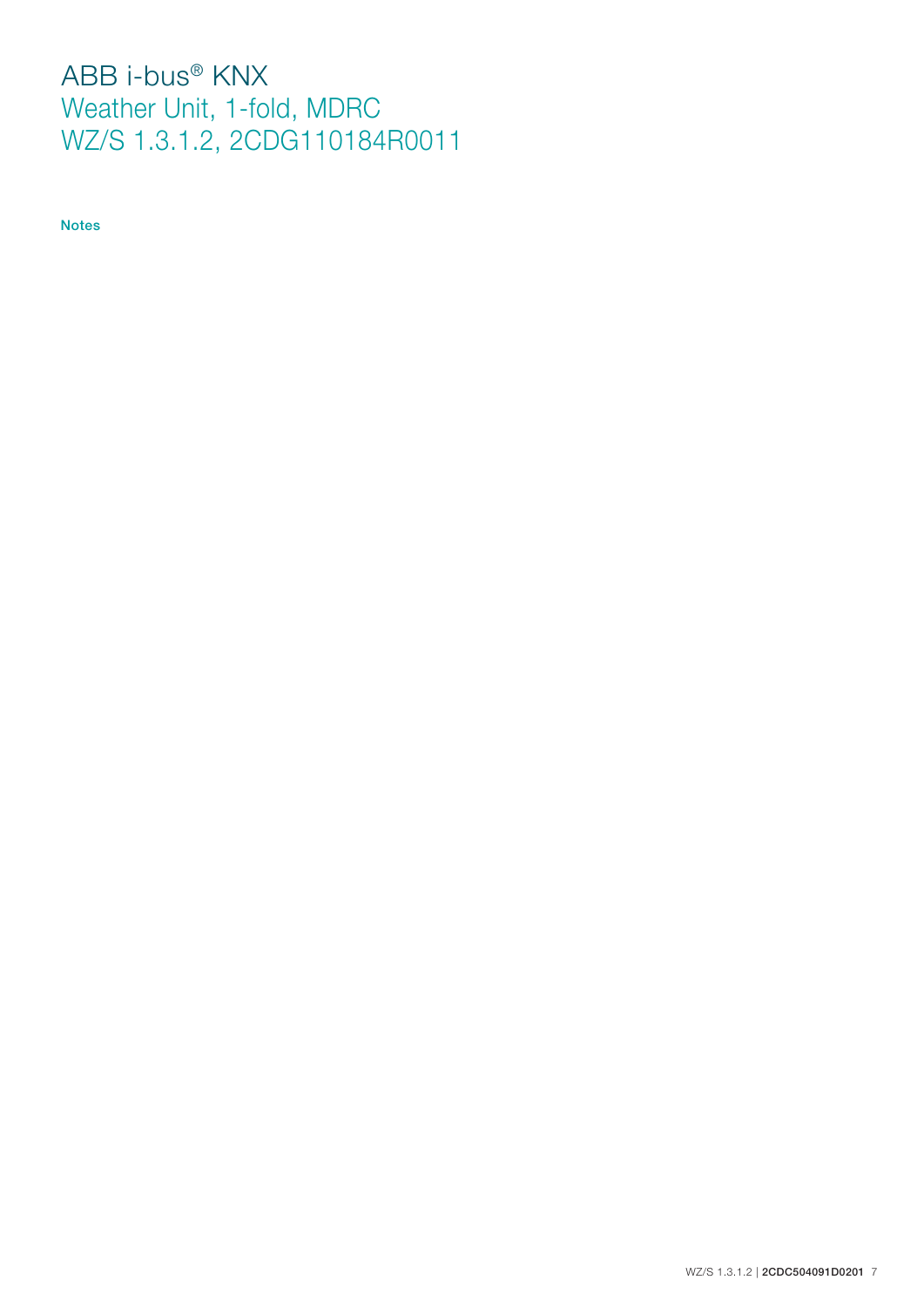Notes